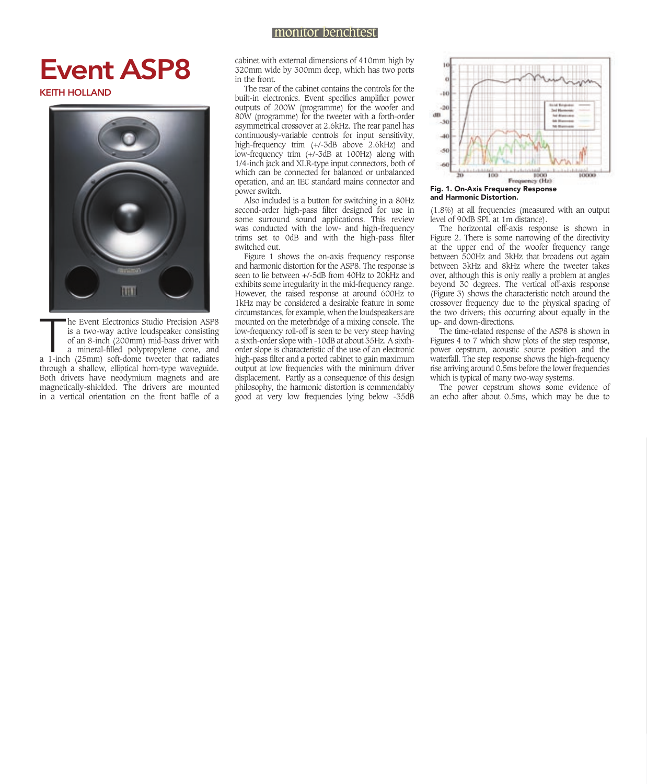## monitor benchtest

## Event ASP8

KEITH HOLLAND



he Event Electronics Studio Precision ASP8<br>is a two-way active loudspeaker consisting<br>of an 8-inch (200mm) mid-bass driver with<br>a mineral-filled polypropylene cone, and<br>a 1-inch (25mm) soft-dome tweeter that radiates he Event Electronics Studio Precision ASP8 is a two-way active loudspeaker consisting of an 8-inch (200mm) mid-bass driver with a mineral-filled polypropylene cone, and through a shallow, elliptical horn-type waveguide. Both drivers have neodymium magnets and are magnetically-shielded. The drivers are mounted in a vertical orientation on the front baffle of a

cabinet with external dimensions of 410mm high by 320mm wide by 300mm deep, which has two ports in the front.

The rear of the cabinet contains the controls for the built-in electronics. Event specifies amplifier power outputs of 200W (programme) for the woofer and 80W (programme) for the tweeter with a forth-order asymmetrical crossover at 2.6kHz. The rear panel has continuously-variable controls for input sensitivity, high-frequency trim (+/-3dB above 2.6kHz) and low-frequency trim (+/-3dB at 100Hz) along with 1/4-inch jack and XLR-type input connectors, both of which can be connected for balanced or unbalanced operation, and an IEC standard mains connector and power switch.

Also included is a button for switching in a 80Hz second-order high-pass filter designed for use in some surround sound applications. This review was conducted with the low- and high-frequency trims set to OdB and with the high-pass filter switched out.

Figure 1 shows the on-axis frequency response and harmonic distortion for the ASP8. The response is seen to lie between  $+/-5$ dB from 40Hz to 20 $\overline{k}$ Hz and exhibits some irregularity in the mid-frequency range. However, the raised response at around 600Hz to 1kHz may be considered a desirable feature in some circumstances, for example, when the loudspeakers are mounted on the meterbridge of a mixing console. The low-frequency roll-off is seen to be very steep having a sixth-order slope with -10dB at about 35Hz. A sixthorder slope is characteristic of the use of an electronic high-pass filter and a ported cabinet to gain maximum output at low frequencies with the minimum driver displacement. Partly as a consequence of this design philosophy, the harmonic distortion is commendably good at very low frequencies lying below -35dB



Fig. 1. On-Axis Frequency Response and Harmonic Distortion.

(1.8%) at all frequencies (measured with an output level of 90dB SPL at 1m distance).

The horizontal off-axis response is shown in Figure 2. There is some narrowing of the directivity at the upper end of the woofer frequency range between 500Hz and 3kHz that broadens out again between 3kHz and 8kHz where the tweeter takes over, although this is only really a problem at angles beyond 30 degrees. The vertical off-axis response (Figure 3) shows the characteristic notch around the crossover frequency due to the physical spacing of the two drivers; this occurring about equally in the up- and down-directions.

The time-related response of the ASP8 is shown in Figures 4 to 7 which show plots of the step response, power cepstrum, acoustic source position and the waterfall. The step response shows the high-frequency rise arriving around 0.5ms before the lower frequencies which is typical of many two-way systems.

The power cepstrum shows some evidence of an echo after about 0.5ms, which may be due to